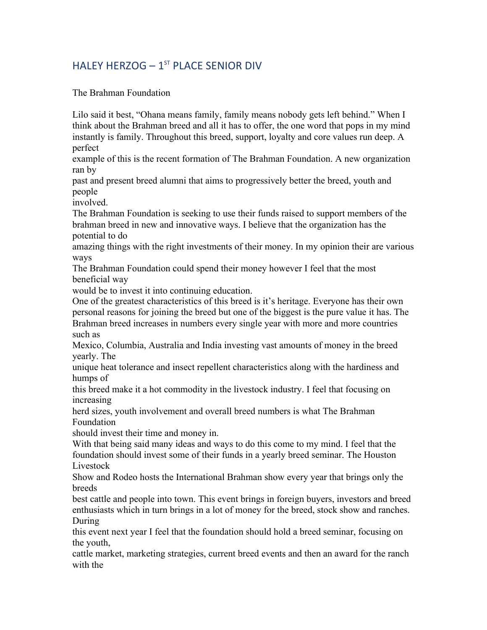## HALEY HERZOG  $-1$ <sup>ST</sup> PLACE SENIOR DIV

The Brahman Foundation

Lilo said it best, "Ohana means family, family means nobody gets left behind." When I think about the Brahman breed and all it has to offer, the one word that pops in my mind instantly is family. Throughout this breed, support, loyalty and core values run deep. A perfect

example of this is the recent formation of The Brahman Foundation. A new organization ran by

past and present breed alumni that aims to progressively better the breed, youth and people

involved.

The Brahman Foundation is seeking to use their funds raised to support members of the brahman breed in new and innovative ways. I believe that the organization has the potential to do

amazing things with the right investments of their money. In my opinion their are various ways

The Brahman Foundation could spend their money however I feel that the most beneficial way

would be to invest it into continuing education.

One of the greatest characteristics of this breed is it's heritage. Everyone has their own personal reasons for joining the breed but one of the biggest is the pure value it has. The Brahman breed increases in numbers every single year with more and more countries such as

Mexico, Columbia, Australia and India investing vast amounts of money in the breed yearly. The

unique heat tolerance and insect repellent characteristics along with the hardiness and humps of

this breed make it a hot commodity in the livestock industry. I feel that focusing on increasing

herd sizes, youth involvement and overall breed numbers is what The Brahman Foundation

should invest their time and money in.

With that being said many ideas and ways to do this come to my mind. I feel that the foundation should invest some of their funds in a yearly breed seminar. The Houston Livestock

Show and Rodeo hosts the International Brahman show every year that brings only the breeds

best cattle and people into town. This event brings in foreign buyers, investors and breed enthusiasts which in turn brings in a lot of money for the breed, stock show and ranches. During

this event next year I feel that the foundation should hold a breed seminar, focusing on the youth,

cattle market, marketing strategies, current breed events and then an award for the ranch with the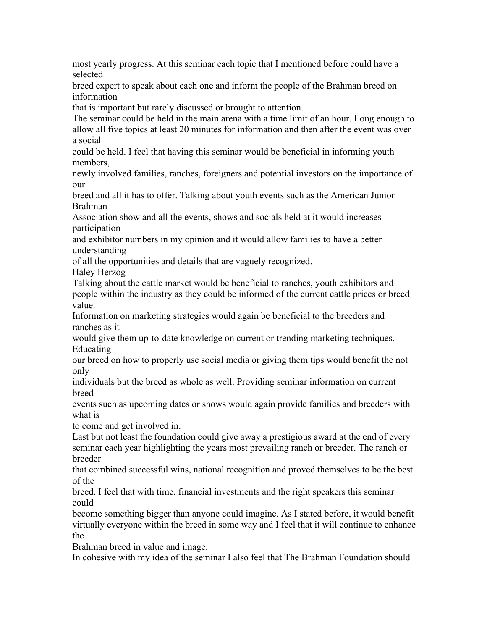most yearly progress. At this seminar each topic that I mentioned before could have a selected

breed expert to speak about each one and inform the people of the Brahman breed on information

that is important but rarely discussed or brought to attention.

The seminar could be held in the main arena with a time limit of an hour. Long enough to allow all five topics at least 20 minutes for information and then after the event was over a social

could be held. I feel that having this seminar would be beneficial in informing youth members,

newly involved families, ranches, foreigners and potential investors on the importance of our

breed and all it has to offer. Talking about youth events such as the American Junior Brahman

Association show and all the events, shows and socials held at it would increases participation

and exhibitor numbers in my opinion and it would allow families to have a better understanding

of all the opportunities and details that are vaguely recognized.

Haley Herzog

Talking about the cattle market would be beneficial to ranches, youth exhibitors and people within the industry as they could be informed of the current cattle prices or breed value.

Information on marketing strategies would again be beneficial to the breeders and ranches as it

would give them up-to-date knowledge on current or trending marketing techniques. Educating

our breed on how to properly use social media or giving them tips would benefit the not only

individuals but the breed as whole as well. Providing seminar information on current breed

events such as upcoming dates or shows would again provide families and breeders with what is

to come and get involved in.

Last but not least the foundation could give away a prestigious award at the end of every seminar each year highlighting the years most prevailing ranch or breeder. The ranch or breeder

that combined successful wins, national recognition and proved themselves to be the best of the

breed. I feel that with time, financial investments and the right speakers this seminar could

become something bigger than anyone could imagine. As I stated before, it would benefit virtually everyone within the breed in some way and I feel that it will continue to enhance the

Brahman breed in value and image.

In cohesive with my idea of the seminar I also feel that The Brahman Foundation should